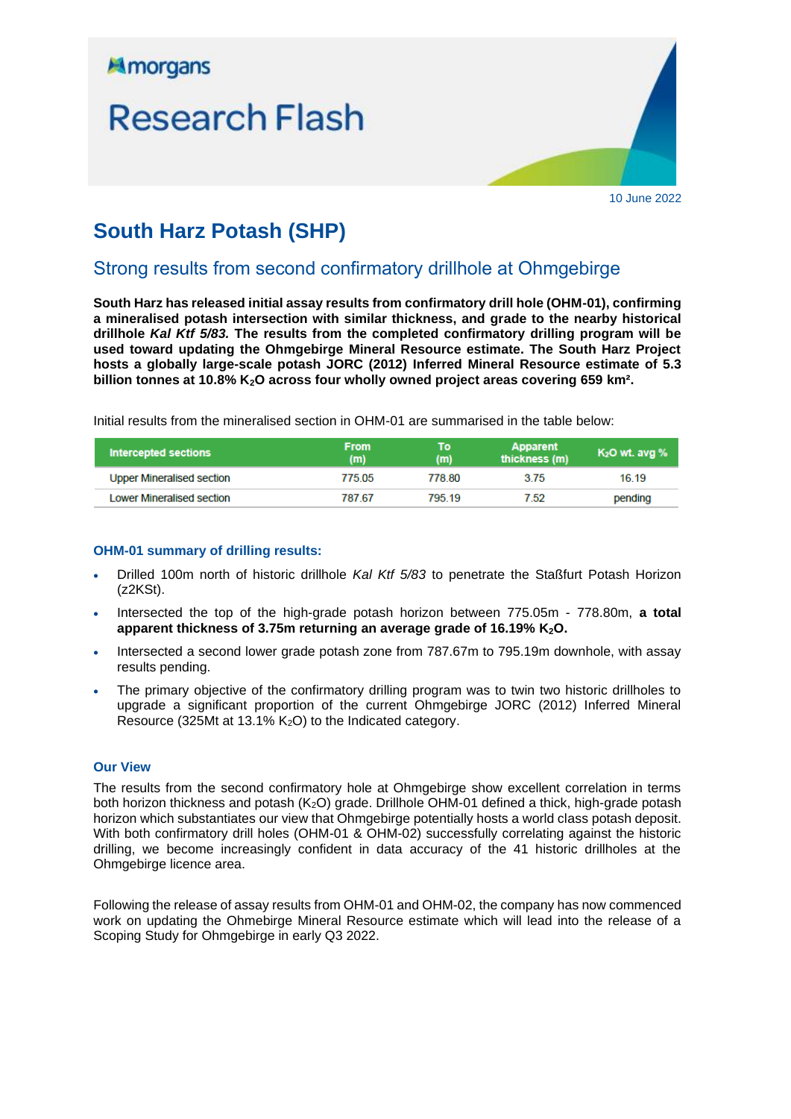

10 June 2022

# **South Harz Potash (SHP)**

## Strong results from second confirmatory drillhole at Ohmgebirge

**South Harz has released initial assay results from confirmatory drill hole (OHM-01), confirming a mineralised potash intersection with similar thickness, and grade to the nearby historical drillhole** *Kal Ktf 5/83.* **The results from the completed confirmatory drilling program will be used toward updating the Ohmgebirge Mineral Resource estimate. The South Harz Project hosts a globally large-scale potash JORC (2012) Inferred Mineral Resource estimate of 5.3 billion tonnes at 10.8% K2O across four wholly owned project areas covering 659 km².**

Initial results from the mineralised section in OHM-01 are summarised in the table below:

| Intercepted sections             | <b>From</b><br>(m) | To<br>(m) | Apparent<br>thickness (m) | $K2O$ wt. avg $%$ |
|----------------------------------|--------------------|-----------|---------------------------|-------------------|
| <b>Upper Mineralised section</b> | 77505              | 778 80    | 375                       | 16.19             |
| <b>Lower Mineralised section</b> | 787.67             | 795 19    | 7.52                      | pending           |

## **OHM-01 summary of drilling results:**

- Drilled 100m north of historic drillhole *Kal Ktf 5/83* to penetrate the Staßfurt Potash Horizon (z2KSt).
- Intersected the top of the high-grade potash horizon between 775.05m 778.80m, **a total apparent thickness of 3.75m returning an average grade of 16.19% K2O.**
- Intersected a second lower grade potash zone from 787.67m to 795.19m downhole, with assay results pending.
- The primary objective of the confirmatory drilling program was to twin two historic drillholes to upgrade a significant proportion of the current Ohmgebirge JORC (2012) Inferred Mineral Resource (325Mt at 13.1% K2O) to the Indicated category.

## **Our View**

The results from the second confirmatory hole at Ohmgebirge show excellent correlation in terms both horizon thickness and potash (K<sub>2</sub>O) grade. Drillhole OHM-01 defined a thick, high-grade potash horizon which substantiates our view that Ohmgebirge potentially hosts a world class potash deposit. With both confirmatory drill holes (OHM-01 & OHM-02) successfully correlating against the historic drilling, we become increasingly confident in data accuracy of the 41 historic drillholes at the Ohmgebirge licence area.

Following the release of assay results from OHM-01 and OHM-02, the company has now commenced work on updating the Ohmebirge Mineral Resource estimate which will lead into the release of a Scoping Study for Ohmgebirge in early Q3 2022.